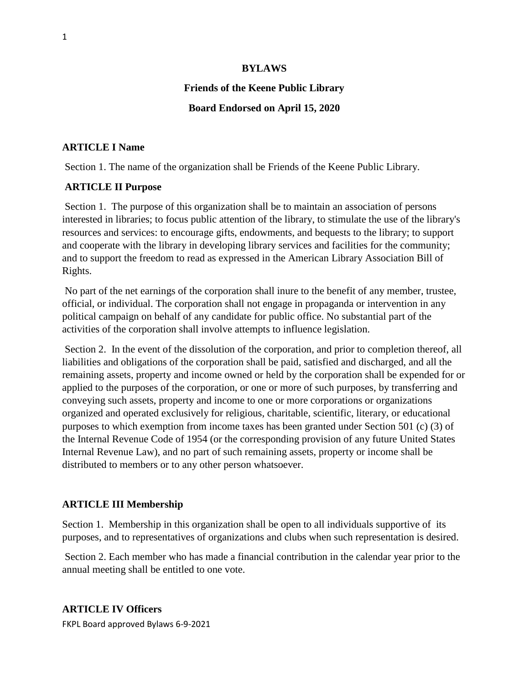#### **BYLAWS**

# **Friends of the Keene Public Library**

### **Board Endorsed on April 15, 2020**

### **ARTICLE I Name**

Section 1. The name of the organization shall be Friends of the Keene Public Library.

### **ARTICLE II Purpose**

Section 1. The purpose of this organization shall be to maintain an association of persons interested in libraries; to focus public attention of the library, to stimulate the use of the library's resources and services: to encourage gifts, endowments, and bequests to the library; to support and cooperate with the library in developing library services and facilities for the community; and to support the freedom to read as expressed in the American Library Association Bill of Rights.

No part of the net earnings of the corporation shall inure to the benefit of any member, trustee, official, or individual. The corporation shall not engage in propaganda or intervention in any political campaign on behalf of any candidate for public office. No substantial part of the activities of the corporation shall involve attempts to influence legislation.

Section 2. In the event of the dissolution of the corporation, and prior to completion thereof, all liabilities and obligations of the corporation shall be paid, satisfied and discharged, and all the remaining assets, property and income owned or held by the corporation shall be expended for or applied to the purposes of the corporation, or one or more of such purposes, by transferring and conveying such assets, property and income to one or more corporations or organizations organized and operated exclusively for religious, charitable, scientific, literary, or educational purposes to which exemption from income taxes has been granted under Section 501 (c) (3) of the Internal Revenue Code of 1954 (or the corresponding provision of any future United States Internal Revenue Law), and no part of such remaining assets, property or income shall be distributed to members or to any other person whatsoever.

#### **ARTICLE III Membership**

Section 1. Membership in this organization shall be open to all individuals supportive of its purposes, and to representatives of organizations and clubs when such representation is desired.

Section 2. Each member who has made a financial contribution in the calendar year prior to the annual meeting shall be entitled to one vote.

### **ARTICLE IV Officers**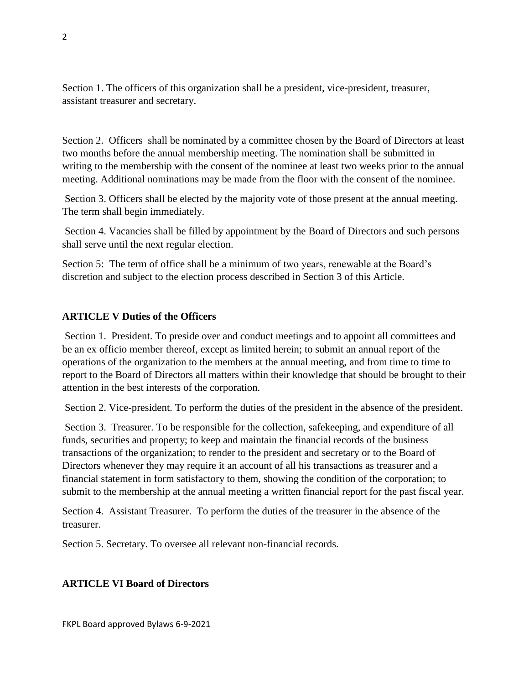Section 1. The officers of this organization shall be a president, vice-president, treasurer, assistant treasurer and secretary.

Section 2. Officers shall be nominated by a committee chosen by the Board of Directors at least two months before the annual membership meeting. The nomination shall be submitted in writing to the membership with the consent of the nominee at least two weeks prior to the annual meeting. Additional nominations may be made from the floor with the consent of the nominee.

Section 3. Officers shall be elected by the majority vote of those present at the annual meeting. The term shall begin immediately.

Section 4. Vacancies shall be filled by appointment by the Board of Directors and such persons shall serve until the next regular election.

Section 5: The term of office shall be a minimum of two years, renewable at the Board's discretion and subject to the election process described in Section 3 of this Article.

# **ARTICLE V Duties of the Officers**

Section 1. President. To preside over and conduct meetings and to appoint all committees and be an ex officio member thereof, except as limited herein; to submit an annual report of the operations of the organization to the members at the annual meeting, and from time to time to report to the Board of Directors all matters within their knowledge that should be brought to their attention in the best interests of the corporation.

Section 2. Vice-president. To perform the duties of the president in the absence of the president.

Section 3. Treasurer. To be responsible for the collection, safekeeping, and expenditure of all funds, securities and property; to keep and maintain the financial records of the business transactions of the organization; to render to the president and secretary or to the Board of Directors whenever they may require it an account of all his transactions as treasurer and a financial statement in form satisfactory to them, showing the condition of the corporation; to submit to the membership at the annual meeting a written financial report for the past fiscal year.

Section 4. Assistant Treasurer. To perform the duties of the treasurer in the absence of the treasurer.

Section 5. Secretary. To oversee all relevant non-financial records.

# **ARTICLE VI Board of Directors**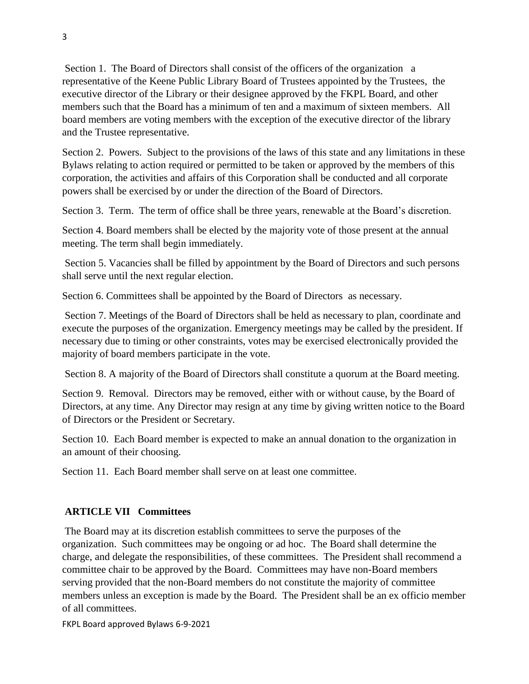Section 1. The Board of Directors shall consist of the officers of the organization a representative of the Keene Public Library Board of Trustees appointed by the Trustees, the executive director of the Library or their designee approved by the FKPL Board, and other members such that the Board has a minimum of ten and a maximum of sixteen members. All board members are voting members with the exception of the executive director of the library and the Trustee representative.

Section 2. Powers. Subject to the provisions of the laws of this state and any limitations in these Bylaws relating to action required or permitted to be taken or approved by the members of this corporation, the activities and affairs of this Corporation shall be conducted and all corporate powers shall be exercised by or under the direction of the Board of Directors.

Section 3. Term. The term of office shall be three years, renewable at the Board's discretion.

Section 4. Board members shall be elected by the majority vote of those present at the annual meeting. The term shall begin immediately.

Section 5. Vacancies shall be filled by appointment by the Board of Directors and such persons shall serve until the next regular election.

Section 6. Committees shall be appointed by the Board of Directors as necessary.

Section 7. Meetings of the Board of Directors shall be held as necessary to plan, coordinate and execute the purposes of the organization. Emergency meetings may be called by the president. If necessary due to timing or other constraints, votes may be exercised electronically provided the majority of board members participate in the vote.

Section 8. A majority of the Board of Directors shall constitute a quorum at the Board meeting.

Section 9. Removal. Directors may be removed, either with or without cause, by the Board of Directors, at any time. Any Director may resign at any time by giving written notice to the Board of Directors or the President or Secretary.

Section 10. Each Board member is expected to make an annual donation to the organization in an amount of their choosing.

Section 11. Each Board member shall serve on at least one committee.

# **ARTICLE VII Committees**

The Board may at its discretion establish committees to serve the purposes of the organization. Such committees may be ongoing or ad hoc. The Board shall determine the charge, and delegate the responsibilities, of these committees. The President shall recommend a committee chair to be approved by the Board. Committees may have non-Board members serving provided that the non-Board members do not constitute the majority of committee members unless an exception is made by the Board. The President shall be an ex officio member of all committees.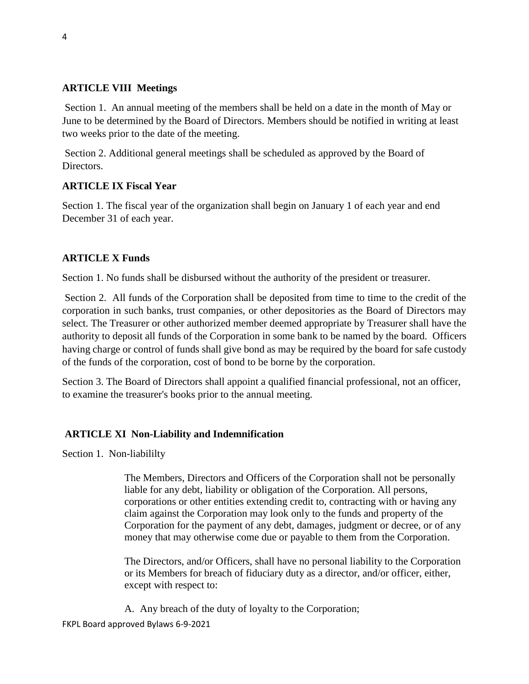# **ARTICLE VIII Meetings**

Section 1. An annual meeting of the members shall be held on a date in the month of May or June to be determined by the Board of Directors. Members should be notified in writing at least two weeks prior to the date of the meeting.

Section 2. Additional general meetings shall be scheduled as approved by the Board of Directors.

# **ARTICLE IX Fiscal Year**

Section 1. The fiscal year of the organization shall begin on January 1 of each year and end December 31 of each year.

# **ARTICLE X Funds**

Section 1. No funds shall be disbursed without the authority of the president or treasurer.

Section 2. All funds of the Corporation shall be deposited from time to time to the credit of the corporation in such banks, trust companies, or other depositories as the Board of Directors may select. The Treasurer or other authorized member deemed appropriate by Treasurer shall have the authority to deposit all funds of the Corporation in some bank to be named by the board. Officers having charge or control of funds shall give bond as may be required by the board for safe custody of the funds of the corporation, cost of bond to be borne by the corporation.

Section 3. The Board of Directors shall appoint a qualified financial professional, not an officer, to examine the treasurer's books prior to the annual meeting.

# **ARTICLE XI Non-Liability and Indemnification**

Section 1. Non-liabililty

The Members, Directors and Officers of the Corporation shall not be personally liable for any debt, liability or obligation of the Corporation. All persons, corporations or other entities extending credit to, contracting with or having any claim against the Corporation may look only to the funds and property of the Corporation for the payment of any debt, damages, judgment or decree, or of any money that may otherwise come due or payable to them from the Corporation.

The Directors, and/or Officers, shall have no personal liability to the Corporation or its Members for breach of fiduciary duty as a director, and/or officer, either, except with respect to:

FKPL Board approved Bylaws 6-9-2021 A. Any breach of the duty of loyalty to the Corporation;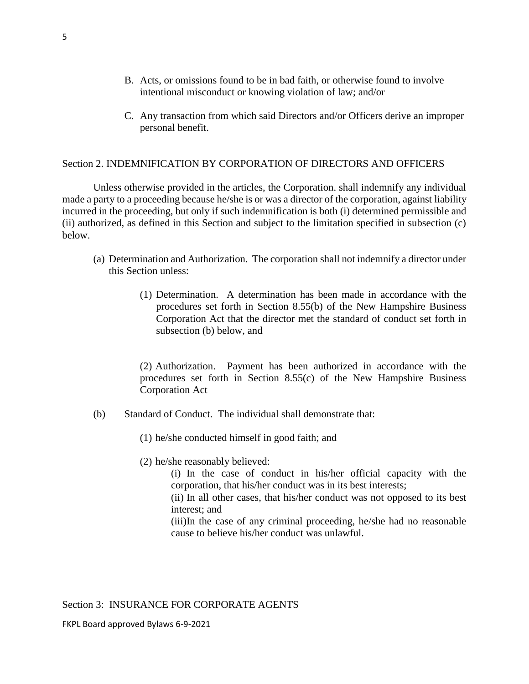- B. Acts, or omissions found to be in bad faith, or otherwise found to involve intentional misconduct or knowing violation of law; and/or
- C. Any transaction from which said Directors and/or Officers derive an improper personal benefit.

# Section 2. INDEMNIFICATION BY CORPORATION OF DIRECTORS AND OFFICERS

Unless otherwise provided in the articles, the Corporation. shall indemnify any individual made a party to a proceeding because he/she is or was a director of the corporation, against liability incurred in the proceeding, but only if such indemnification is both (i) determined permissible and (ii) authorized, as defined in this Section and subject to the limitation specified in subsection (c) below.

- (a) Determination and Authorization. The corporation shall not indemnify a director under this Section unless:
	- (1) Determination. A determination has been made in accordance with the procedures set forth in Section 8.55(b) of the New Hampshire Business Corporation Act that the director met the standard of conduct set forth in subsection (b) below, and

(2) Authorization. Payment has been authorized in accordance with the procedures set forth in Section 8.55(c) of the New Hampshire Business Corporation Act

- (b) Standard of Conduct. The individual shall demonstrate that:
	- (1) he/she conducted himself in good faith; and
	- (2) he/she reasonably believed:

(i) In the case of conduct in his/her official capacity with the corporation, that his/her conduct was in its best interests;

(ii) In all other cases, that his/her conduct was not opposed to its best interest; and

(iii)In the case of any criminal proceeding, he/she had no reasonable cause to believe his/her conduct was unlawful.

Section 3: INSURANCE FOR CORPORATE AGENTS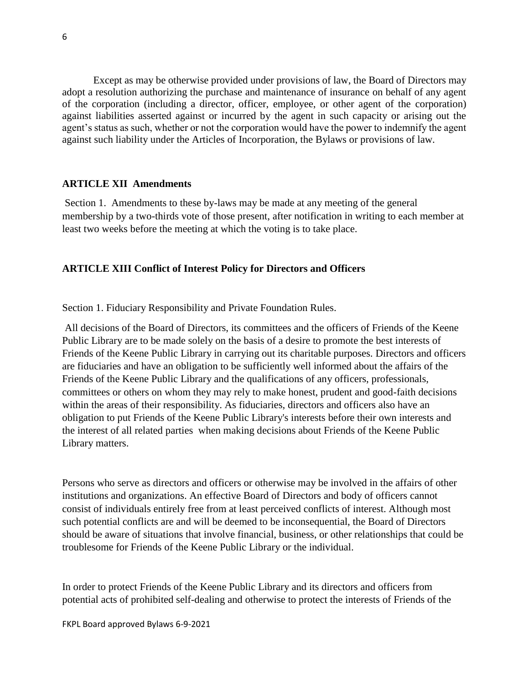Except as may be otherwise provided under provisions of law, the Board of Directors may adopt a resolution authorizing the purchase and maintenance of insurance on behalf of any agent of the corporation (including a director, officer, employee, or other agent of the corporation) against liabilities asserted against or incurred by the agent in such capacity or arising out the agent's status as such, whether or not the corporation would have the power to indemnify the agent against such liability under the Articles of Incorporation, the Bylaws or provisions of law.

#### **ARTICLE XII Amendments**

Section 1. Amendments to these by-laws may be made at any meeting of the general membership by a two-thirds vote of those present, after notification in writing to each member at least two weeks before the meeting at which the voting is to take place.

### **ARTICLE XIII Conflict of Interest Policy for Directors and Officers**

Section 1. Fiduciary Responsibility and Private Foundation Rules.

All decisions of the Board of Directors, its committees and the officers of Friends of the Keene Public Library are to be made solely on the basis of a desire to promote the best interests of Friends of the Keene Public Library in carrying out its charitable purposes. Directors and officers are fiduciaries and have an obligation to be sufficiently well informed about the affairs of the Friends of the Keene Public Library and the qualifications of any officers, professionals, committees or others on whom they may rely to make honest, prudent and good-faith decisions within the areas of their responsibility. As fiduciaries, directors and officers also have an obligation to put Friends of the Keene Public Library's interests before their own interests and the interest of all related parties when making decisions about Friends of the Keene Public Library matters.

Persons who serve as directors and officers or otherwise may be involved in the affairs of other institutions and organizations. An effective Board of Directors and body of officers cannot consist of individuals entirely free from at least perceived conflicts of interest. Although most such potential conflicts are and will be deemed to be inconsequential, the Board of Directors should be aware of situations that involve financial, business, or other relationships that could be troublesome for Friends of the Keene Public Library or the individual.

In order to protect Friends of the Keene Public Library and its directors and officers from potential acts of prohibited self-dealing and otherwise to protect the interests of Friends of the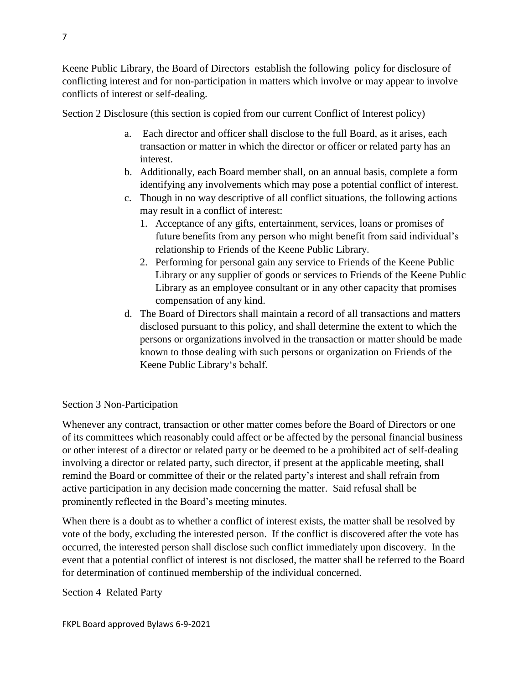Keene Public Library, the Board of Directors establish the following policy for disclosure of conflicting interest and for non-participation in matters which involve or may appear to involve conflicts of interest or self-dealing.

Section 2 Disclosure (this section is copied from our current Conflict of Interest policy)

- a. Each director and officer shall disclose to the full Board, as it arises, each transaction or matter in which the director or officer or related party has an interest.
- b. Additionally, each Board member shall, on an annual basis, complete a form identifying any involvements which may pose a potential conflict of interest.
- c. Though in no way descriptive of all conflict situations, the following actions may result in a conflict of interest:
	- 1. Acceptance of any gifts, entertainment, services, loans or promises of future benefits from any person who might benefit from said individual's relationship to Friends of the Keene Public Library.
	- 2. Performing for personal gain any service to Friends of the Keene Public Library or any supplier of goods or services to Friends of the Keene Public Library as an employee consultant or in any other capacity that promises compensation of any kind.
- d. The Board of Directors shall maintain a record of all transactions and matters disclosed pursuant to this policy, and shall determine the extent to which the persons or organizations involved in the transaction or matter should be made known to those dealing with such persons or organization on Friends of the Keene Public Library's behalf.

# Section 3 Non-Participation

Whenever any contract, transaction or other matter comes before the Board of Directors or one of its committees which reasonably could affect or be affected by the personal financial business or other interest of a director or related party or be deemed to be a prohibited act of self-dealing involving a director or related party, such director, if present at the applicable meeting, shall remind the Board or committee of their or the related party's interest and shall refrain from active participation in any decision made concerning the matter. Said refusal shall be prominently reflected in the Board's meeting minutes.

When there is a doubt as to whether a conflict of interest exists, the matter shall be resolved by vote of the body, excluding the interested person. If the conflict is discovered after the vote has occurred, the interested person shall disclose such conflict immediately upon discovery. In the event that a potential conflict of interest is not disclosed, the matter shall be referred to the Board for determination of continued membership of the individual concerned.

Section 4 Related Party